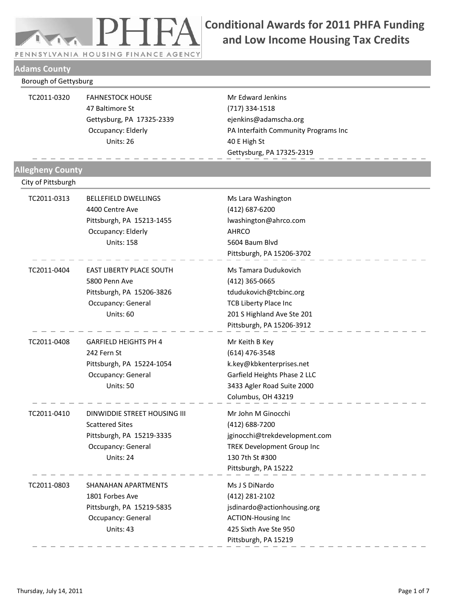

PENNSYLVANIA HOUSING FINANCE AGENCY

## **Adams County**

#### Borough of Gettysburg

| TC2011-0320             | <b>FAHNESTOCK HOUSE</b><br>47 Baltimore St<br>Gettysburg, PA 17325-2339<br>Occupancy: Elderly<br>Units: 26             | Mr Edward Jenkins<br>$(717)$ 334-1518<br>ejenkins@adamscha.org<br>PA Interfaith Community Programs Inc<br>40 E High St<br>Gettysburg, PA 17325-2319         |
|-------------------------|------------------------------------------------------------------------------------------------------------------------|-------------------------------------------------------------------------------------------------------------------------------------------------------------|
| <b>Allegheny County</b> |                                                                                                                        |                                                                                                                                                             |
| City of Pittsburgh      |                                                                                                                        |                                                                                                                                                             |
| TC2011-0313             | <b>BELLEFIELD DWELLINGS</b><br>4400 Centre Ave<br>Pittsburgh, PA 15213-1455<br>Occupancy: Elderly<br><b>Units: 158</b> | Ms Lara Washington<br>(412) 687-6200<br>lwashington@ahrco.com<br>AHRCO<br>5604 Baum Blvd<br>Pittsburgh, PA 15206-3702                                       |
| TC2011-0404             | EAST LIBERTY PLACE SOUTH<br>5800 Penn Ave<br>Pittsburgh, PA 15206-3826<br>Occupancy: General<br>Units: 60              | Ms Tamara Dudukovich<br>(412) 365-0665<br>tdudukovich@tcbinc.org<br><b>TCB Liberty Place Inc</b><br>201 S Highland Ave Ste 201<br>Pittsburgh, PA 15206-3912 |
| TC2011-0408             | <b>GARFIELD HEIGHTS PH 4</b><br>242 Fern St<br>Pittsburgh, PA 15224-1054<br>Occupancy: General<br>Units: 50            | Mr Keith B Key<br>(614) 476-3548<br>k.key@kbkenterprises.net<br>Garfield Heights Phase 2 LLC<br>3433 Agler Road Suite 2000<br>Columbus, OH 43219            |
| TC2011-0410             | DINWIDDIE STREET HOUSING III<br><b>Scattered Sites</b><br>Pittsburgh, PA 15219-3335<br>Occupancy: General<br>Units: 24 | Mr John M Ginocchi<br>(412) 688-7200<br>jginocchi@trekdevelopment.com<br>TREK Development Group Inc<br>130 7th St #300<br>Pittsburgh, PA 15222              |
| TC2011-0803             | SHANAHAN APARTMENTS<br>1801 Forbes Ave<br>Pittsburgh, PA 15219-5835<br>Occupancy: General<br>Units: 43                 | Ms J S DiNardo<br>(412) 281-2102<br>jsdinardo@actionhousing.org<br><b>ACTION-Housing Inc</b><br>425 Sixth Ave Ste 950<br>Pittsburgh, PA 15219               |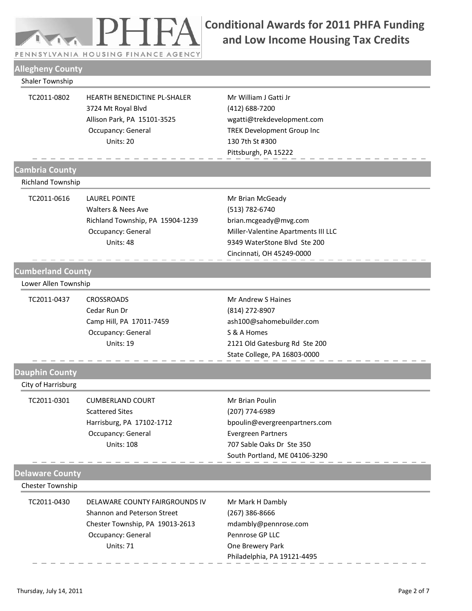

PENNSYLVANIA HOUSING FINANCE AGENCY

## **Allegheny County**

#### Shaler Township

| TC2011-0802              | HEARTH BENEDICTINE PL-SHALER<br>3724 Mt Royal Blvd<br>Allison Park, PA 15101-3525<br>Occupancy: General<br>Units: 20                | Mr William J Gatti Jr<br>(412) 688-7200<br>wgatti@trekdevelopment.com<br>TREK Development Group Inc<br>130 7th St #300<br>Pittsburgh, PA 15222                  |
|--------------------------|-------------------------------------------------------------------------------------------------------------------------------------|-----------------------------------------------------------------------------------------------------------------------------------------------------------------|
| <b>Cambria County</b>    |                                                                                                                                     |                                                                                                                                                                 |
| <b>Richland Township</b> |                                                                                                                                     |                                                                                                                                                                 |
| TC2011-0616              | <b>LAUREL POINTE</b><br>Walters & Nees Ave<br>Richland Township, PA 15904-1239<br>Occupancy: General<br>Units: 48                   | Mr Brian McGeady<br>(513) 782-6740<br>brian.mcgeady@mvg.com<br>Miller-Valentine Apartments III LLC<br>9349 WaterStone Blvd Ste 200<br>Cincinnati, OH 45249-0000 |
| <b>Cumberland County</b> |                                                                                                                                     |                                                                                                                                                                 |
| Lower Allen Township     |                                                                                                                                     |                                                                                                                                                                 |
| TC2011-0437              | <b>CROSSROADS</b><br>Cedar Run Dr<br>Camp Hill, PA 17011-7459<br>Occupancy: General<br>Units: 19                                    | Mr Andrew S Haines<br>(814) 272-8907<br>ash100@sahomebuilder.com<br>S & A Homes<br>2121 Old Gatesburg Rd Ste 200<br>State College, PA 16803-0000                |
| <b>Dauphin County</b>    |                                                                                                                                     |                                                                                                                                                                 |
| City of Harrisburg       |                                                                                                                                     |                                                                                                                                                                 |
| TC2011-0301              | <b>CUMBERLAND COURT</b><br><b>Scattered Sites</b><br>Harrisburg, PA 17102-1712<br>Occupancy: General<br><b>Units: 108</b>           | Mr Brian Poulin<br>(207) 774-6989<br>bpoulin@evergreenpartners.com<br><b>Evergreen Partners</b><br>707 Sable Oaks Dr Ste 350<br>South Portland, ME 04106-3290   |
| <b>Delaware County</b>   |                                                                                                                                     |                                                                                                                                                                 |
| Chester Township         |                                                                                                                                     |                                                                                                                                                                 |
| TC2011-0430              | DELAWARE COUNTY FAIRGROUNDS IV<br>Shannon and Peterson Street<br>Chester Township, PA 19013-2613<br>Occupancy: General<br>Units: 71 | Mr Mark H Dambly<br>$(267)$ 386-8666<br>mdambly@pennrose.com<br>Pennrose GP LLC<br>One Brewery Park<br>Philadelphia, PA 19121-4495                              |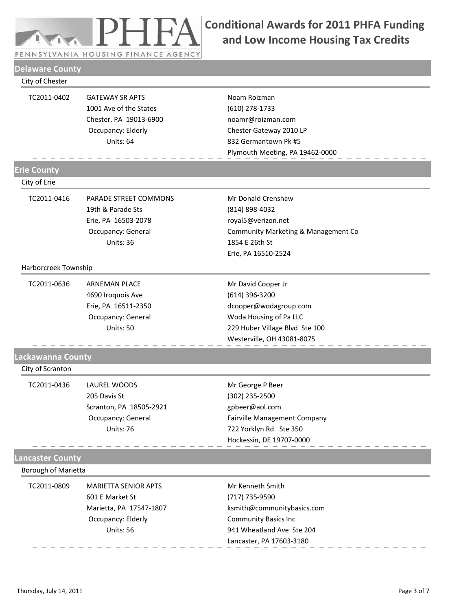

PENNSYLVANIA HOUSING FINANCE AGENCY

# **Delaware County**

| TC2011-0402                | <b>GATEWAY SR APTS</b><br>1001 Ave of the States<br>Chester, PA 19013-6900<br>Occupancy: Elderly<br>Units: 64 | Noam Roizman<br>(610) 278-1733<br>noamr@roizman.com<br>Chester Gateway 2010 LP<br>832 Germantown Pk #5<br>Plymouth Meeting, PA 19462-0000                |
|----------------------------|---------------------------------------------------------------------------------------------------------------|----------------------------------------------------------------------------------------------------------------------------------------------------------|
| <b>Erie County</b>         |                                                                                                               |                                                                                                                                                          |
| City of Erie               |                                                                                                               |                                                                                                                                                          |
| TC2011-0416                | PARADE STREET COMMONS<br>19th & Parade Sts<br>Erie, PA 16503-2078<br>Occupancy: General<br>Units: 36          | Mr Donald Crenshaw<br>(814) 898-4032<br>royal5@verizon.net<br>Community Marketing & Management Co<br>1854 E 26th St<br>Erie, PA 16510-2524               |
| Harborcreek Township       |                                                                                                               |                                                                                                                                                          |
| TC2011-0636                | <b>ARNEMAN PLACE</b><br>4690 Iroquois Ave<br>Erie, PA 16511-2350<br>Occupancy: General<br>Units: 50           | Mr David Cooper Jr<br>(614) 396-3200<br>dcooper@wodagroup.com<br>Woda Housing of Pa LLC<br>229 Huber Village Blvd Ste 100<br>Westerville, OH 43081-8075  |
| Lackawanna County          |                                                                                                               |                                                                                                                                                          |
| City of Scranton           |                                                                                                               |                                                                                                                                                          |
| TC2011-0436                | <b>LAUREL WOODS</b><br>205 Davis St<br>Scranton, PA 18505-2921<br>Occupancy: General<br>Units: 76             | Mr George P Beer<br>(302) 235-2500<br>gpbeer@aol.com<br>Fairville Management Company<br>722 Yorklyn Rd Ste 350<br>Hockessin, DE 19707-0000               |
| <b>Lancaster County</b>    |                                                                                                               |                                                                                                                                                          |
| <b>Borough of Marietta</b> |                                                                                                               |                                                                                                                                                          |
| TC2011-0809                | <b>MARIETTA SENIOR APTS</b><br>601 E Market St<br>Marietta, PA 17547-1807<br>Occupancy: Elderly<br>Units: 56  | Mr Kenneth Smith<br>(717) 735-9590<br>ksmith@communitybasics.com<br><b>Community Basics Inc</b><br>941 Wheatland Ave Ste 204<br>Lancaster, PA 17603-3180 |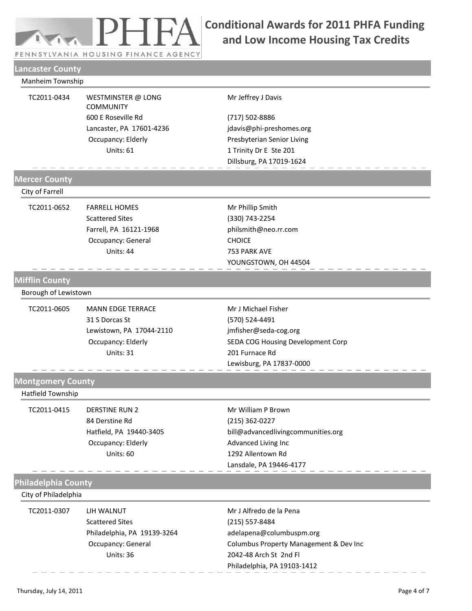

PENNSYLVANIA HOUSING FINANCE AGENCY

#### **Lancaster County**

#### Manheim Township

| TC2011-0434          | WESTMINSTER @ LONG<br><b>COMMUNITY</b> | Mr Jeffrey J Davis         |
|----------------------|----------------------------------------|----------------------------|
|                      | 600 E Roseville Rd                     | (717) 502-8886             |
|                      | Lancaster, PA 17601-4236               | jdavis@phi-preshomes.org   |
|                      | Occupancy: Elderly                     | Presbyterian Senior Living |
|                      | Units: 61                              | 1 Trinity Dr E Ste 201     |
|                      |                                        | Dillsburg, PA 17019-1624   |
| <b>Nercer County</b> |                                        |                            |

#### City of Farrell

| TC2011-0652 | <b>FARRELL HOMES</b>   |
|-------------|------------------------|
|             | <b>Scattered Sites</b> |
|             | Farrell, PA 16121-1968 |
|             | Occupancy: General     |
|             | Units: 44              |

Mr Phillip Smith (330) 743‐2254 philsmith@neo.rr.com CHOICE 753 PARK AVE YOUNGSTOWN, OH 44504

### **Mifflin County**

| Borough of Lewistown |                          |  |
|----------------------|--------------------------|--|
| TC2011-0605          | <b>MANN EDGE TERRACE</b> |  |
|                      | 31 S Dorcas St           |  |
|                      | Lewistown, PA 17044-2110 |  |
|                      | Occupancy: Elderly       |  |
|                      | Units: 31                |  |

Mr J Michael Fisher (570) 524‐4491 jmfisher@seda‐cog.org SEDA COG Housing Development Corp 201 Furnace Rd Lewisburg, PA 17837‐0000

#### **Montgomery County**

Hatfield Township

TC2011-0415 DERSTINE RUN 2 84 Derstine Rd Hatfield, PA 19440‐3405 Occupancy: Elderly Units: 60

Mr William P Brown (215) 362‐0227 bill@advancedlivingcommunities.org Advanced Living Inc 1292 Allentown Rd Lansdale, PA 19446‐4177

#### **Philadelphia County**

City of Philadelphia

TC2011‐0307 LIH WALNUT Scattered Sites Philadelphia, PA 19139‐3264 Occupancy: General Units: 36

Mr J Alfredo de la Pena (215) 557‐8484 adelapena@columbuspm.org Columbus Property Management & Dev Inc 2042‐48 Arch St 2nd Fl Philadelphia, PA 19103‐1412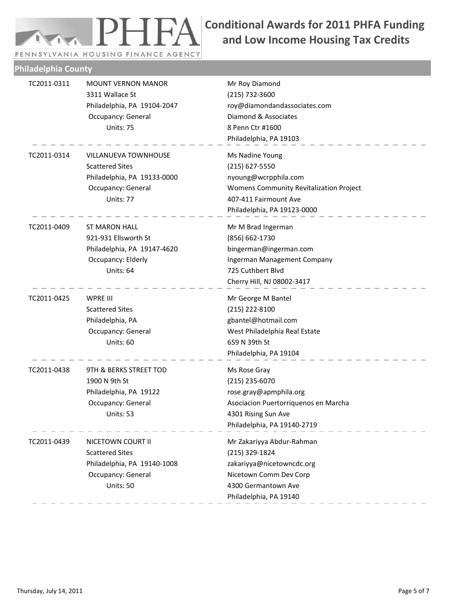

PENNSYLVANIA HOUSING FINANCE AGENCY

### **Philadelphia County**

| TC2011-0311 | <b>MOUNT VERNON MANOR</b><br>3311 Wallace St<br>Philadelphia, PA 19104-2047<br>Occupancy: General<br>Units: 75   | Mr Roy Diamond<br>(215) 732-3600<br>roy@diamondandassociates.com<br>Diamond & Associates<br>8 Penn Ctr #1600<br>Philadelphia, PA 19103                       |
|-------------|------------------------------------------------------------------------------------------------------------------|--------------------------------------------------------------------------------------------------------------------------------------------------------------|
| TC2011-0314 | VILLANUEVA TOWNHOUSE<br><b>Scattered Sites</b><br>Philadelphia, PA 19133-0000<br>Occupancy: General<br>Units: 77 | Ms Nadine Young<br>(215) 627-5550<br>nyoung@wcrpphila.com<br>Womens Community Revitalization Project<br>407-411 Fairmount Ave<br>Philadelphia, PA 19123-0000 |
| TC2011-0409 | <b>ST MARON HALL</b><br>921-931 Ellsworth St<br>Philadelphia, PA 19147-4620<br>Occupancy: Elderly<br>Units: 64   | Mr M Brad Ingerman<br>(856) 662-1730<br>bingerman@ingerman.com<br>Ingerman Management Company<br>725 Cuthbert Blvd<br>Cherry Hill, NJ 08002-3417             |
| TC2011-0425 | WPRE III<br><b>Scattered Sites</b><br>Philadelphia, PA<br>Occupancy: General<br>Units: 60                        | Mr George M Bantel<br>(215) 222-8100<br>gbantel@hotmail.com<br>West Philadelphia Real Estate<br>659 N 39th St<br>Philadelphia, PA 19104                      |
| TC2011-0438 | 9TH & BERKS STREET TOD<br>1900 N 9th St<br>Philadelphia, PA 19122<br>Occupancy: General<br>Units: 53             | Ms Rose Gray<br>(215) 235-6070<br>rose.gray@apmphila.org<br>Asociacion Puertorriquenos en Marcha<br>4301 Rising Sun Ave<br>Philadelphia, PA 19140-2719       |
| TC2011-0439 | NICETOWN COURT II<br><b>Scattered Sites</b><br>Philadelphia, PA 19140-1008<br>Occupancy: General<br>Units: 50    | Mr Zakariyya Abdur-Rahman<br>(215) 329-1824<br>zakariyya@nicetowncdc.org<br>Nicetown Comm Dev Corp<br>4300 Germantown Ave<br>Philadelphia, PA 19140          |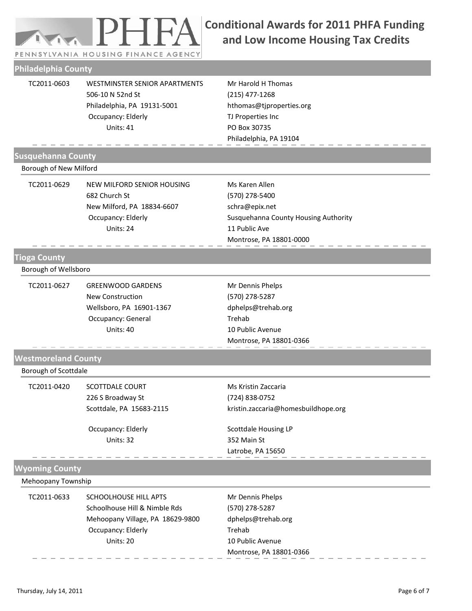

PENNSYLVANIA HOUSING FINANCE AGENCY

### **Philadelphia County**

| TC2011-0603                | <b>WESTMINSTER SENIOR APARTMENTS</b><br>506-10 N 52nd St<br>Philadelphia, PA 19131-5001<br>Occupancy: Elderly<br>Units: 41    | Mr Harold H Thomas<br>(215) 477-1268<br>hthomas@tjproperties.org<br>TJ Properties Inc<br>PO Box 30735<br>Philadelphia, PA 19104          |
|----------------------------|-------------------------------------------------------------------------------------------------------------------------------|------------------------------------------------------------------------------------------------------------------------------------------|
| Susquehanna County         |                                                                                                                               |                                                                                                                                          |
| Borough of New Milford     |                                                                                                                               |                                                                                                                                          |
| TC2011-0629                | NEW MILFORD SENIOR HOUSING<br>682 Church St<br>New Milford, PA 18834-6607<br>Occupancy: Elderly<br>Units: 24                  | Ms Karen Allen<br>(570) 278-5400<br>schra@epix.net<br>Susquehanna County Housing Authority<br>11 Public Ave<br>Montrose, PA 18801-0000   |
| <b>Tioga County</b>        |                                                                                                                               |                                                                                                                                          |
| Borough of Wellsboro       |                                                                                                                               |                                                                                                                                          |
| TC2011-0627                | <b>GREENWOOD GARDENS</b><br>New Construction<br>Wellsboro, PA 16901-1367<br>Occupancy: General<br>Units: 40                   | Mr Dennis Phelps<br>(570) 278-5287<br>dphelps@trehab.org<br>Trehab<br>10 Public Avenue<br>Montrose, PA 18801-0366                        |
| <b>Westmoreland County</b> |                                                                                                                               |                                                                                                                                          |
| Borough of Scottdale       |                                                                                                                               |                                                                                                                                          |
| TC2011-0420                | <b>SCOTTDALE COURT</b><br>226 S Broadway St<br>Scottdale, PA 15683-2115<br>Occupancy: Elderly<br>Units: 32                    | Ms Kristin Zaccaria<br>(724) 838-0752<br>kristin.zaccaria@homesbuildhope.org<br>Scottdale Housing LP<br>352 Main St<br>Latrobe, PA 15650 |
| <b>Wyoming County</b>      |                                                                                                                               |                                                                                                                                          |
| Mehoopany Township         |                                                                                                                               |                                                                                                                                          |
| TC2011-0633                | SCHOOLHOUSE HILL APTS<br>Schoolhouse Hill & Nimble Rds<br>Mehoopany Village, PA 18629-9800<br>Occupancy: Elderly<br>Units: 20 | Mr Dennis Phelps<br>(570) 278-5287<br>dphelps@trehab.org<br>Trehab<br>10 Public Avenue<br>Montrose, PA 18801-0366                        |